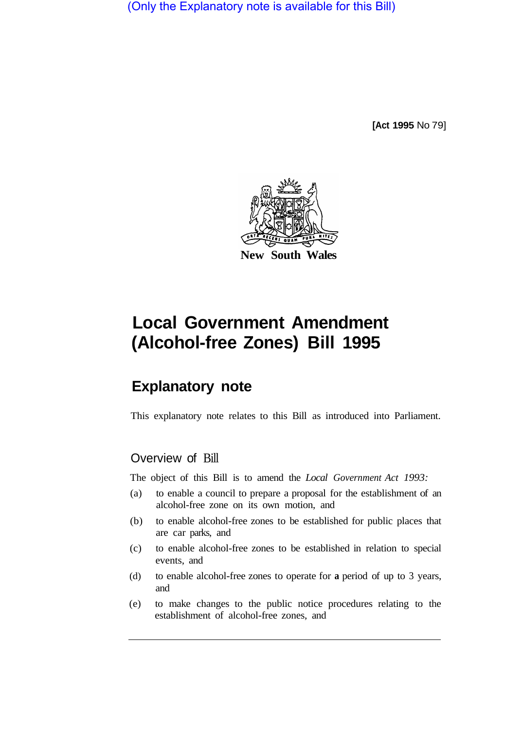(Only the Explanatory note is available for this Bill)

**[Act 1995** No 79]



# **Local Government Amendment (Alcohol-free Zones) Bill 1995**

# **Explanatory note**

This explanatory note relates to this Bill as introduced into Parliament.

## Overview of Bill

The object of this Bill is to amend the *Local Government Act 1993:* 

- (a) to enable a council to prepare a proposal for the establishment of an alcohol-free zone on its own motion, and
- (b) to enable alcohol-free zones to be established for public places that are car parks, and
- (c) to enable alcohol-free zones to be established in relation to special events, and
- (d) to enable alcohol-free zones to operate for **a** period of up to 3 years, and
- (e) to make changes to the public notice procedures relating to the establishment of alcohol-free zones, and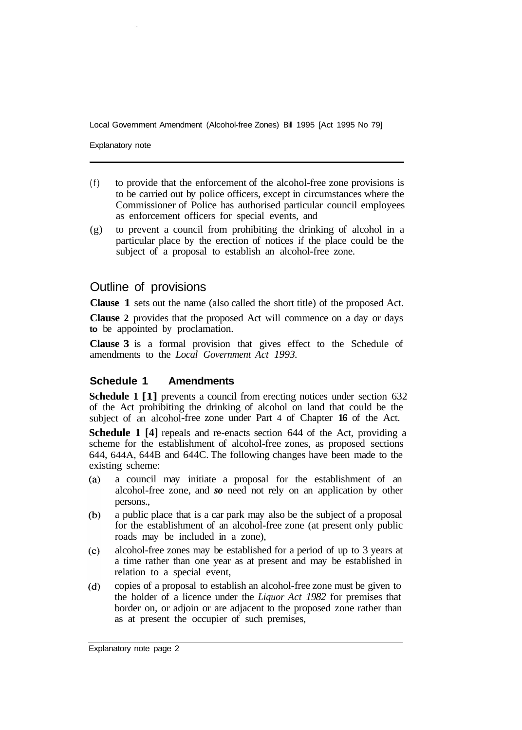Local Government Amendment (Alcohol-free Zones) Bill 1995 [Act 1995 No 79]

Explanatory note

- (f) to provide that the enforcement of the alcohol-free zone provisions is to be carried out by police officers, except in circumstances where the Commissioner of Police has authorised particular council employees as enforcement officers for special events, and
- (g) to prevent a council from prohibiting the drinking of alcohol in a particular place by the erection of notices if the place could be the subject of a proposal to establish an alcohol-free zone.

### Outline of provisions

**Clause 1** sets out the name (also called the short title) of the proposed Act.

**Clause 2** provides that the proposed Act will commence on a day or days **to** be appointed by proclamation.

**Clause 3** is a formal provision that gives effect to the Schedule of amendments to the *Local Government Act 1993.*

#### **Schedule 1 Amendments**

**Schedule 1 [1]** prevents a council from erecting notices under section 632 of the Act prohibiting the drinking of alcohol on land that could be the subject of an alcohol-free zone under Part 4 of Chapter **16** of the Act.

**Schedule 1 [4]** repeals and re-enacts section 644 of the Act, providing a scheme for the establishment of alcohol-free zones, as proposed sections 644, 644A, 644B and 644C. The following changes have been made to the existing scheme:

- $(a)$ a council may initiate a proposal for the establishment of an alcohol-free zone, and *so* need not rely on an application by other persons.,
- $(b)$ a public place that is a car park may also be the subject of a proposal for the establishment of an alcohol-free zone (at present only public roads may be included in a zone),
- alcohol-free zones may be established for a period of up to 3 years at  $(c)$ a time rather than one year as at present and may be established in relation to a special event,
- copies of a proposal to establish an alcohol-free zone must be given to  $(d)$ the holder of a licence under the *Liquor Act 1982* for premises that border on, or adjoin or are adjacent to the proposed zone rather than as at present the occupier of such premises,

Explanatory note page 2